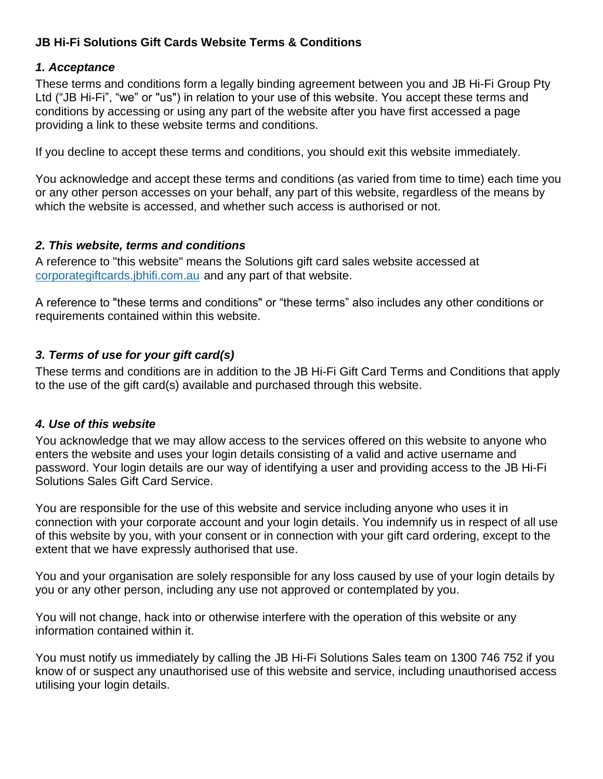## **JB Hi-Fi Solutions Gift Cards Website Terms & Conditions**

#### *1. Acceptance*

These terms and conditions form a legally binding agreement between you and JB Hi-Fi Group Pty Ltd ("JB Hi-Fi", "we" or "us") in relation to your use of this website. You accept these terms and conditions by accessing or using any part of the website after you have first accessed a page providing a link to these website terms and conditions.

If you decline to accept these terms and conditions, you should exit this website immediately.

You acknowledge and accept these terms and conditions (as varied from time to time) each time you or any other person accesses on your behalf, any part of this website, regardless of the means by which the website is accessed, and whether such access is authorised or not.

#### *2. This website, terms and conditions*

A reference to "this website" means the Solutions gift card sales website accessed at [corporategiftcards.jbhifi.com.au](https://corporategiftcards.jbhifi.com.au/) and any part of that website.

A reference to "these terms and conditions" or "these terms" also includes any other conditions or requirements contained within this website.

### *3. Terms of use for your gift card(s)*

These terms and conditions are in addition to the JB Hi-Fi Gift Card Terms and Conditions that apply to the use of the gift card(s) available and purchased through this website.

### *4. Use of this website*

You acknowledge that we may allow access to the services offered on this website to anyone who enters the website and uses your login details consisting of a valid and active username and password. Your login details are our way of identifying a user and providing access to the JB Hi-Fi Solutions Sales Gift Card Service.

You are responsible for the use of this website and service including anyone who uses it in connection with your corporate account and your login details. You indemnify us in respect of all use of this website by you, with your consent or in connection with your gift card ordering, except to the extent that we have expressly authorised that use.

You and your organisation are solely responsible for any loss caused by use of your login details by you or any other person, including any use not approved or contemplated by you.

You will not change, hack into or otherwise interfere with the operation of this website or any information contained within it.

You must notify us immediately by calling the JB Hi-Fi Solutions Sales team on 1300 746 752 if you know of or suspect any unauthorised use of this website and service, including unauthorised access utilising your login details.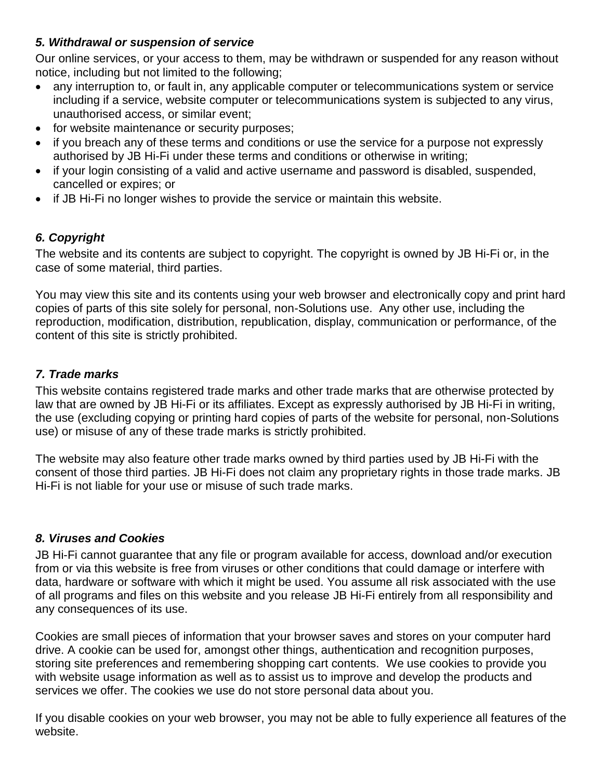## *5. Withdrawal or suspension of service*

Our online services, or your access to them, may be withdrawn or suspended for any reason without notice, including but not limited to the following;

- any interruption to, or fault in, any applicable computer or telecommunications system or service including if a service, website computer or telecommunications system is subjected to any virus, unauthorised access, or similar event;
- for website maintenance or security purposes;
- if you breach any of these terms and conditions or use the service for a purpose not expressly authorised by JB Hi-Fi under these terms and conditions or otherwise in writing;
- if your login consisting of a valid and active username and password is disabled, suspended, cancelled or expires; or
- if JB Hi-Fi no longer wishes to provide the service or maintain this website.

# *6. Copyright*

The website and its contents are subject to copyright. The copyright is owned by JB Hi-Fi or, in the case of some material, third parties.

You may view this site and its contents using your web browser and electronically copy and print hard copies of parts of this site solely for personal, non-Solutions use. Any other use, including the reproduction, modification, distribution, republication, display, communication or performance, of the content of this site is strictly prohibited.

## *7. Trade marks*

This website contains registered trade marks and other trade marks that are otherwise protected by law that are owned by JB Hi-Fi or its affiliates. Except as expressly authorised by JB Hi-Fi in writing, the use (excluding copying or printing hard copies of parts of the website for personal, non-Solutions use) or misuse of any of these trade marks is strictly prohibited.

The website may also feature other trade marks owned by third parties used by JB Hi-Fi with the consent of those third parties. JB Hi-Fi does not claim any proprietary rights in those trade marks. JB Hi-Fi is not liable for your use or misuse of such trade marks.

### *8. Viruses and Cookies*

JB Hi-Fi cannot guarantee that any file or program available for access, download and/or execution from or via this website is free from viruses or other conditions that could damage or interfere with data, hardware or software with which it might be used. You assume all risk associated with the use of all programs and files on this website and you release JB Hi-Fi entirely from all responsibility and any consequences of its use.

Cookies are small pieces of information that your browser saves and stores on your computer hard drive. A cookie can be used for, amongst other things, authentication and recognition purposes, storing site preferences and remembering shopping cart contents. We use cookies to provide you with website usage information as well as to assist us to improve and develop the products and services we offer. The cookies we use do not store personal data about you.

If you disable cookies on your web browser, you may not be able to fully experience all features of the website.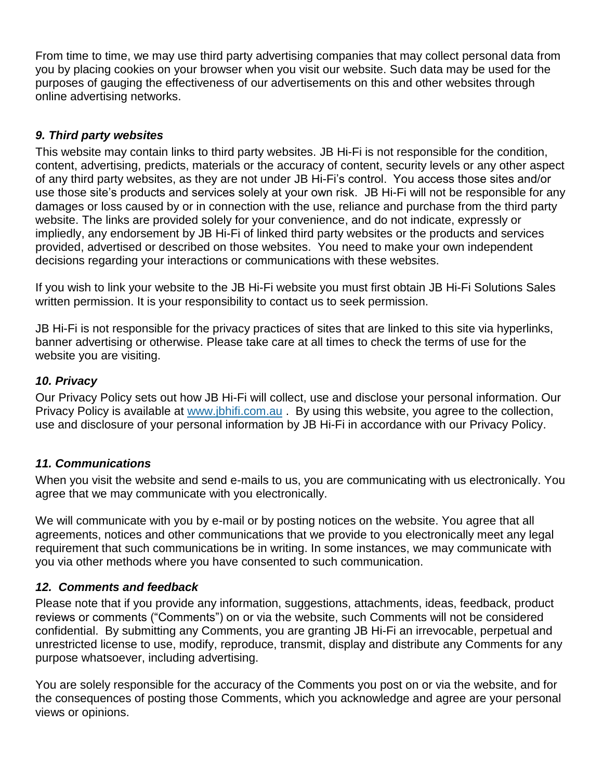From time to time, we may use third party advertising companies that may collect personal data from you by placing cookies on your browser when you visit our website. Such data may be used for the purposes of gauging the effectiveness of our advertisements on this and other websites through online advertising networks.

### *9. Third party websites*

This website may contain links to third party websites. JB Hi-Fi is not responsible for the condition, content, advertising, predicts, materials or the accuracy of content, security levels or any other aspect of any third party websites, as they are not under JB Hi-Fi's control. You access those sites and/or use those site's products and services solely at your own risk. JB Hi-Fi will not be responsible for any damages or loss caused by or in connection with the use, reliance and purchase from the third party website. The links are provided solely for your convenience, and do not indicate, expressly or impliedly, any endorsement by JB Hi-Fi of linked third party websites or the products and services provided, advertised or described on those websites. You need to make your own independent decisions regarding your interactions or communications with these websites.

If you wish to link your website to the JB Hi-Fi website you must first obtain JB Hi-Fi Solutions Sales written permission. It is your responsibility to contact us to seek permission.

JB Hi-Fi is not responsible for the privacy practices of sites that are linked to this site via hyperlinks, banner advertising or otherwise. Please take care at all times to check the terms of use for the website you are visiting.

## *10. Privacy*

Our Privacy Policy sets out how JB Hi-Fi will collect, use and disclose your personal information. Our Privacy Policy is available at [www.jbhifi.com.au](http://www.jbhifi.com.au/) . By using this website, you agree to the collection, use and disclosure of your personal information by JB Hi-Fi in accordance with our Privacy Policy.

# *11. Communications*

When you visit the website and send e-mails to us, you are communicating with us electronically. You agree that we may communicate with you electronically.

We will communicate with you by e-mail or by posting notices on the website. You agree that all agreements, notices and other communications that we provide to you electronically meet any legal requirement that such communications be in writing. In some instances, we may communicate with you via other methods where you have consented to such communication.

### *12. Comments and feedback*

Please note that if you provide any information, suggestions, attachments, ideas, feedback, product reviews or comments ("Comments") on or via the website, such Comments will not be considered confidential. By submitting any Comments, you are granting JB Hi-Fi an irrevocable, perpetual and unrestricted license to use, modify, reproduce, transmit, display and distribute any Comments for any purpose whatsoever, including advertising.

You are solely responsible for the accuracy of the Comments you post on or via the website, and for the consequences of posting those Comments, which you acknowledge and agree are your personal views or opinions.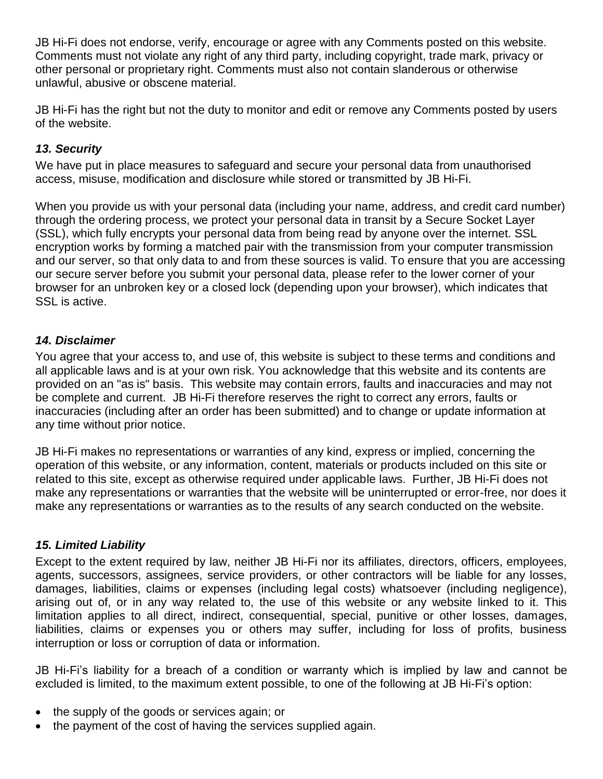JB Hi-Fi does not endorse, verify, encourage or agree with any Comments posted on this website. Comments must not violate any right of any third party, including copyright, trade mark, privacy or other personal or proprietary right. Comments must also not contain slanderous or otherwise unlawful, abusive or obscene material.

JB Hi-Fi has the right but not the duty to monitor and edit or remove any Comments posted by users of the website.

## *13. Security*

We have put in place measures to safeguard and secure your personal data from unauthorised access, misuse, modification and disclosure while stored or transmitted by JB Hi-Fi.

When you provide us with your personal data (including your name, address, and credit card number) through the ordering process, we protect your personal data in transit by a Secure Socket Layer (SSL), which fully encrypts your personal data from being read by anyone over the internet. SSL encryption works by forming a matched pair with the transmission from your computer transmission and our server, so that only data to and from these sources is valid. To ensure that you are accessing our secure server before you submit your personal data, please refer to the lower corner of your browser for an unbroken key or a closed lock (depending upon your browser), which indicates that SSL is active.

## *14. Disclaimer*

You agree that your access to, and use of, this website is subject to these terms and conditions and all applicable laws and is at your own risk. You acknowledge that this website and its contents are provided on an "as is" basis. This website may contain errors, faults and inaccuracies and may not be complete and current. JB Hi-Fi therefore reserves the right to correct any errors, faults or inaccuracies (including after an order has been submitted) and to change or update information at any time without prior notice.

JB Hi-Fi makes no representations or warranties of any kind, express or implied, concerning the operation of this website, or any information, content, materials or products included on this site or related to this site, except as otherwise required under applicable laws. Further, JB Hi-Fi does not make any representations or warranties that the website will be uninterrupted or error-free, nor does it make any representations or warranties as to the results of any search conducted on the website.

### *15. Limited Liability*

Except to the extent required by law, neither JB Hi-Fi nor its affiliates, directors, officers, employees, agents, successors, assignees, service providers, or other contractors will be liable for any losses, damages, liabilities, claims or expenses (including legal costs) whatsoever (including negligence), arising out of, or in any way related to, the use of this website or any website linked to it. This limitation applies to all direct, indirect, consequential, special, punitive or other losses, damages, liabilities, claims or expenses you or others may suffer, including for loss of profits, business interruption or loss or corruption of data or information.

JB Hi-Fi's liability for a breach of a condition or warranty which is implied by law and cannot be excluded is limited, to the maximum extent possible, to one of the following at JB Hi-Fi's option:

- the supply of the goods or services again; or
- the payment of the cost of having the services supplied again.